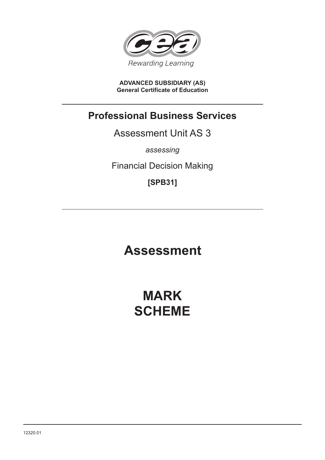

**ADVANCED SUBSIDIARY (AS) General Certificate of Education**

# **Professional Business Services**

Assessment Unit AS 3

*assessing*

Financial Decision Making

**[SPB31]**

# **Assessment**

# **MARK SCHEME**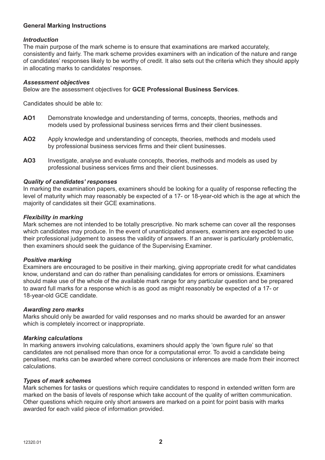# **General Marking Instructions**

### *Introduction*

The main purpose of the mark scheme is to ensure that examinations are marked accurately, consistently and fairly. The mark scheme provides examiners with an indication of the nature and range of candidates' responses likely to be worthy of credit. It also sets out the criteria which they should apply in allocating marks to candidates' responses.

#### *Assessment objectives*

Below are the assessment objectives for **GCE Professional Business Services**.

Candidates should be able to:

- **AO1** Demonstrate knowledge and understanding of terms, concepts, theories, methods and models used by professional business services firms and their client businesses.
- **AO2** Apply knowledge and understanding of concepts, theories, methods and models used by professional business services firms and their client businesses.
- **AO3** Investigate, analyse and evaluate concepts, theories, methods and models as used by professional business services firms and their client businesses.

#### *Quality of candidates' responses*

In marking the examination papers, examiners should be looking for a quality of response reflecting the level of maturity which may reasonably be expected of a 17- or 18-year-old which is the age at which the majority of candidates sit their GCE examinations.

#### *Flexibility in marking*

Mark schemes are not intended to be totally prescriptive. No mark scheme can cover all the responses which candidates may produce. In the event of unanticipated answers, examiners are expected to use their professional judgement to assess the validity of answers. If an answer is particularly problematic, then examiners should seek the guidance of the Supervising Examiner.

### *Positive marking*

Examiners are encouraged to be positive in their marking, giving appropriate credit for what candidates know, understand and can do rather than penalising candidates for errors or omissions. Examiners should make use of the whole of the available mark range for any particular question and be prepared to award full marks for a response which is as good as might reasonably be expected of a 17- or 18-year-old GCE candidate.

#### *Awarding zero marks*

Marks should only be awarded for valid responses and no marks should be awarded for an answer which is completely incorrect or inappropriate.

#### *Marking calculations*

In marking answers involving calculations, examiners should apply the 'own figure rule' so that candidates are not penalised more than once for a computational error. To avoid a candidate being penalised, marks can be awarded where correct conclusions or inferences are made from their incorrect calculations.

#### *Types of mark schemes*

Mark schemes for tasks or questions which require candidates to respond in extended written form are marked on the basis of levels of response which take account of the quality of written communication. Other questions which require only short answers are marked on a point for point basis with marks awarded for each valid piece of information provided.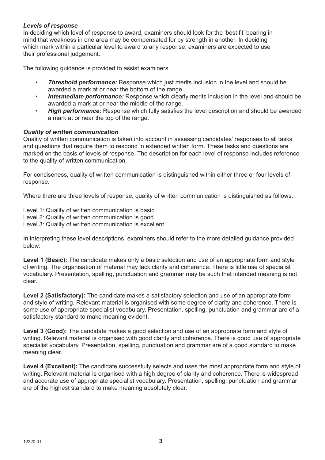# *Levels of response*

In deciding which level of response to award, examiners should look for the 'best fit' bearing in mind that weakness in one area may be compensated for by strength in another. In deciding which mark within a particular level to award to any response, examiners are expected to use their professional judgement.

The following guidance is provided to assist examiners.

- **Threshold performance:** Response which just merits inclusion in the level and should be awarded a mark at or near the bottom of the range.
- *Intermediate performance:* Response which clearly merits inclusion in the level and should be awarded a mark at or near the middle of the range.
- *High performance:* Response which fully satisfies the level description and should be awarded a mark at or near the top of the range.

### *Quality of written communication*

Quality of written communication is taken into account in assessing candidates' responses to all tasks and questions that require them to respond in extended written form. These tasks and questions are marked on the basis of levels of response. The description for each level of response includes reference to the quality of written communication.

For conciseness, quality of written communication is distinguished within either three or four levels of response.

Where there are three levels of response, quality of written communication is distinguished as follows:

Level 1: Quality of written communication is basic.

Level 2: Quality of written communication is good.

Level 3: Quality of written communication is excellent.

In interpreting these level descriptions, examiners should refer to the more detailed guidance provided below:

Level 1 (Basic): The candidate makes only a basic selection and use of an appropriate form and style of writing. The organisation of material may lack clarity and coherence. There is little use of specialist vocabulary. Presentation, spelling, punctuation and grammar may be such that intended meaning is not clear.

**Level 2 (Satisfactory):** The candidate makes a satisfactory selection and use of an appropriate form and style of writing. Relevant material is organised with some degree of clarity and coherence. There is some use of appropriate specialist vocabulary. Presentation, spelling, punctuation and grammar are of a satisfactory standard to make meaning evident.

**Level 3 (Good):** The candidate makes a good selection and use of an appropriate form and style of writing. Relevant material is organised with good clarity and coherence. There is good use of appropriate specialist vocabulary. Presentation, spelling, punctuation and grammar are of a good standard to make meaning clear.

Level 4 (Excellent): The candidate successfully selects and uses the most appropriate form and style of writing. Relevant material is organised with a high degree of clarity and coherence. There is widespread and accurate use of appropriate specialist vocabulary. Presentation, spelling, punctuation and grammar are of the highest standard to make meaning absolutely clear.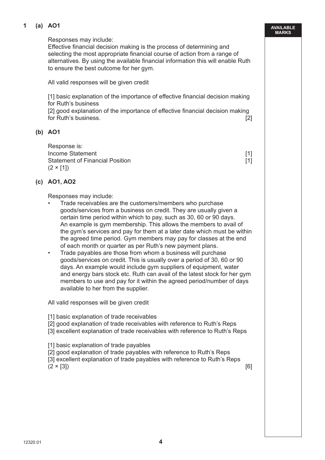# **1 (a) AO1**

Responses may include:

 Effective financial decision making is the process of determining and selecting the most appropriate financial course of action from a range of alternatives. By using the available financial information this will enable Ruth to ensure the best outcome for her gym.

All valid responses will be given credit

 [1] basic explanation of the importance of effective financial decision making for Ruth's business

 [2] good explanation of the importance of effective financial decision making for Ruth's business. [2]

### **(b) AO1**

 Response is: Income Statement [1] Statement of Financial Position **and Contact Contact Contact Contact Contact Contact Contact Contact Contact Contact Contact Contact Contact Contact Contact Contact Contact Contact Contact Contact Contact Contact Contact C**  $(2 \times [1])$ 

### **(c) AO1, AO2**

Responses may include:

- Trade receivables are the customers/members who purchase goods/services from a business on credit. They are usually given a certain time period within which to pay, such as 30, 60 or 90 days. An example is gym membership. This allows the members to avail of the gym's services and pay for them at a later date which must be within the agreed time period. Gym members may pay for classes at the end of each month or quarter as per Ruth's new payment plans.
- Trade payables are those from whom a business will purchase goods/services on credit. This is usually over a period of 30, 60 or 90 days. An example would include gym suppliers of equipment, water and energy bars stock etc. Ruth can avail of the latest stock for her gym members to use and pay for it within the agreed period/number of days available to her from the supplier.

All valid responses will be given credit

- [1] basic explanation of trade receivables
- [2] good explanation of trade receivables with reference to Ruth's Reps
- [3] excellent explanation of trade receivables with reference to Ruth's Reps
- [1] basic explanation of trade payables
- [2] good explanation of trade payables with reference to Ruth's Reps
- [3] excellent explanation of trade payables with reference to Ruth's Reps

 $(2 \times [3])$  [6]

**AVAILABLE MARKS**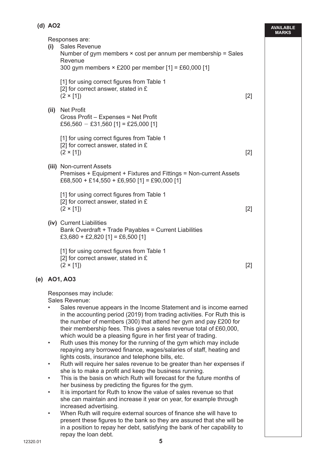| (d) AO2                |                                                                                                                                                                                                                                                                                                                                                                                                                                                                                                                                                                                                                                                                                                                                                                                                                                                                                                                                                       |       | <b>AVAILABL</b><br><b>MARKS</b> |
|------------------------|-------------------------------------------------------------------------------------------------------------------------------------------------------------------------------------------------------------------------------------------------------------------------------------------------------------------------------------------------------------------------------------------------------------------------------------------------------------------------------------------------------------------------------------------------------------------------------------------------------------------------------------------------------------------------------------------------------------------------------------------------------------------------------------------------------------------------------------------------------------------------------------------------------------------------------------------------------|-------|---------------------------------|
|                        | Responses are:<br>(i) Sales Revenue<br>Number of gym members $\times$ cost per annum per membership = Sales<br>Revenue<br>300 gym members × £200 per member [1] = £60,000 [1]                                                                                                                                                                                                                                                                                                                                                                                                                                                                                                                                                                                                                                                                                                                                                                         |       |                                 |
|                        | [1] for using correct figures from Table 1<br>[2] for correct answer, stated in £<br>$(2 \times [1])$                                                                                                                                                                                                                                                                                                                                                                                                                                                                                                                                                                                                                                                                                                                                                                                                                                                 | $[2]$ |                                 |
| (ii)                   | <b>Net Profit</b><br>Gross Profit – Expenses = Net Profit<br>£56,560 - £31,560 [1] = £25,000 [1]                                                                                                                                                                                                                                                                                                                                                                                                                                                                                                                                                                                                                                                                                                                                                                                                                                                      |       |                                 |
|                        | [1] for using correct figures from Table 1<br>[2] for correct answer, stated in £<br>$(2 \times [1])$                                                                                                                                                                                                                                                                                                                                                                                                                                                                                                                                                                                                                                                                                                                                                                                                                                                 | $[2]$ |                                 |
|                        | (iii) Non-current Assets<br>Premises + Equipment + Fixtures and Fittings = Non-current Assets<br>£68,500 + £14,550 + £6,950 [1] = £90,000 [1]                                                                                                                                                                                                                                                                                                                                                                                                                                                                                                                                                                                                                                                                                                                                                                                                         |       |                                 |
|                        | [1] for using correct figures from Table 1<br>[2] for correct answer, stated in $E$<br>$(2 \times [1])$                                                                                                                                                                                                                                                                                                                                                                                                                                                                                                                                                                                                                                                                                                                                                                                                                                               | $[2]$ |                                 |
|                        | (iv) Current Liabilities<br>Bank Overdraft + Trade Payables = Current Liabilities<br>£3,680 + £2,820 [1] = £6,500 [1]                                                                                                                                                                                                                                                                                                                                                                                                                                                                                                                                                                                                                                                                                                                                                                                                                                 |       |                                 |
|                        | [1] for using correct figures from Table 1<br>[2] for correct answer, stated in £<br>$(2 \times [1])$                                                                                                                                                                                                                                                                                                                                                                                                                                                                                                                                                                                                                                                                                                                                                                                                                                                 | $[2]$ |                                 |
|                        | (e) AO1, AO3                                                                                                                                                                                                                                                                                                                                                                                                                                                                                                                                                                                                                                                                                                                                                                                                                                                                                                                                          |       |                                 |
| $\bullet$<br>$\bullet$ | Responses may include:<br>Sales Revenue:<br>Sales revenue appears in the Income Statement and is income earned<br>in the accounting period (2019) from trading activities. For Ruth this is<br>the number of members (300) that attend her gym and pay £200 for<br>their membership fees. This gives a sales revenue total of £60,000,<br>which would be a pleasing figure in her first year of trading.<br>Ruth uses this money for the running of the gym which may include<br>repaying any borrowed finance, wages/salaries of staff, heating and<br>lights costs, insurance and telephone bills, etc.<br>Ruth will require her sales revenue to be greater than her expenses if<br>she is to make a profit and keep the business running.<br>This is the basis on which Ruth will forecast for the future months of<br>her business by predicting the figures for the gym.<br>It is important for Ruth to know the value of sales revenue so that |       |                                 |

**AVAILABLE** 

- It is important for Ruth to know the value of sale she can maintain and increase it year on year, for example through increased advertising.
- When Ruth will require external sources of finance she will have to present these figures to the bank so they are assured that she will be in a position to repay her debt, satisfying the bank of her capability to repay the loan debt.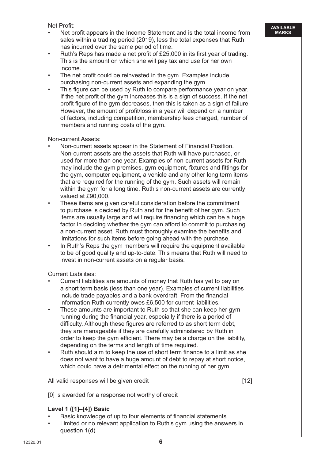Net Profit:

- Net profit appears in the Income Statement and is the total income from sales within a trading period (2019), less the total expenses that Ruth has incurred over the same period of time.
- Ruth's Reps has made a net profit of £25,000 in its first year of trading. This is the amount on which she will pay tax and use for her own income.
- The net profit could be reinvested in the gym. Examples include purchasing non-current assets and expanding the gym.
- This figure can be used by Ruth to compare performance year on year. If the net profit of the gym increases this is a sign of success. If the net profit figure of the gym decreases, then this is taken as a sign of failure. However, the amount of profit/loss in a year will depend on a number of factors, including competition, membership fees charged, number of members and running costs of the gym.

Non-current Assets:

- Non-current assets appear in the Statement of Financial Position. Non-current assets are the assets that Ruth will have purchased, or used for more than one year. Examples of non-current assets for Ruth may include the gym premises, gym equipment, fixtures and fittings for the gym, computer equipment, a vehicle and any other long term items that are required for the running of the gym. Such assets will remain within the gym for a long time. Ruth's non-current assets are currently valued at £90,000.
- These items are given careful consideration before the commitment to purchase is decided by Ruth and for the benefit of her gym. Such items are usually large and will require financing which can be a huge factor in deciding whether the gym can afford to commit to purchasing a non-current asset. Ruth must thoroughly examine the benefits and limitations for such items before going ahead with the purchase.
- In Ruth's Reps the gym members will require the equipment available to be of good quality and up-to-date. This means that Ruth will need to invest in non-current assets on a regular basis.

Current Liabilities:

- Current liabilities are amounts of money that Ruth has yet to pay on a short term basis (less than one year). Examples of current liabilities include trade payables and a bank overdraft. From the financial information Ruth currently owes £6,500 for current liabilities.
- These amounts are important to Ruth so that she can keep her gym running during the financial year, especially if there is a period of difficulty. Although these figures are referred to as short term debt, they are manageable if they are carefully administered by Ruth in order to keep the gym efficient. There may be a charge on the liability, depending on the terms and length of time required.
- Ruth should aim to keep the use of short term finance to a limit as she does not want to have a huge amount of debt to repay at short notice, which could have a detrimental effect on the running of her gym.

All valid responses will be given credit **Example 20** (12)

[0] is awarded for a response not worthy of credit

# **Level 1 ([1]–[4]) Basic**

- Basic knowledge of up to four elements of financial statements
- Limited or no relevant application to Ruth's gym using the answers in question 1(d)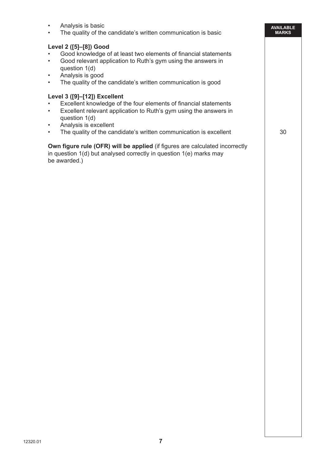| Analysis is basic<br>$\bullet$<br>The quality of the candidate's written communication is basic                                                                                                                                                                                                                             | <b>AVAILABLE</b><br><b>MARKS</b> |
|-----------------------------------------------------------------------------------------------------------------------------------------------------------------------------------------------------------------------------------------------------------------------------------------------------------------------------|----------------------------------|
| Level 2 ([5]-[8]) Good<br>Good knowledge of at least two elements of financial statements<br>Good relevant application to Ruth's gym using the answers in<br>$\bullet$<br>question 1(d)<br>Analysis is good<br>$\bullet$<br>The quality of the candidate's written communication is good<br>$\bullet$                       |                                  |
| Level 3 ([9]-[12]) Excellent<br>Excellent knowledge of the four elements of financial statements<br>Excellent relevant application to Ruth's gym using the answers in<br>$\bullet$<br>question 1(d)<br>Analysis is excellent<br>$\bullet$<br>The quality of the candidate's written communication is excellent<br>$\bullet$ | 30                               |
| <b>Own figure rule (OFR) will be applied (if figures are calculated incorrectly</b><br>in question 1(d) but analysed correctly in question 1(e) marks may<br>be awarded.)                                                                                                                                                   |                                  |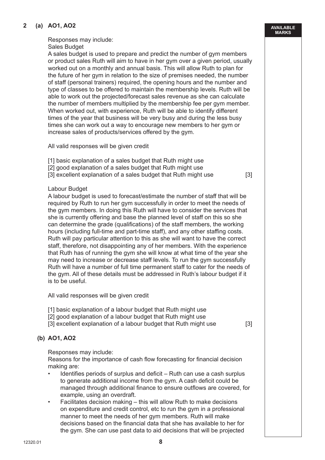# **2 (a) AO1, AO2**

# Responses may include:

Sales Budget

 A sales budget is used to prepare and predict the number of gym members or product sales Ruth will aim to have in her gym over a given period, usually worked out on a monthly and annual basis. This will allow Ruth to plan for the future of her gym in relation to the size of premises needed, the number of staff (personal trainers) required, the opening hours and the number and type of classes to be offered to maintain the membership levels. Ruth will be able to work out the projected/forecast sales revenue as she can calculate the number of members multiplied by the membership fee per gym member. When worked out, with experience, Ruth will be able to identify different times of the year that business will be very busy and during the less busy times she can work out a way to encourage new members to her gym or increase sales of products/services offered by the gym.

All valid responses will be given credit

- [1] basic explanation of a sales budget that Ruth might use
- [2] good explanation of a sales budget that Ruth might use
- [3] excellent explanation of a sales budget that Ruth might use [3]

### Labour Budget

 A labour budget is used to forecast/estimate the number of staff that will be required by Ruth to run her gym successfully in order to meet the needs of the gym members. In doing this Ruth will have to consider the services that she is currently offering and base the planned level of staff on this so she can determine the grade (qualifications) of the staff members, the working hours (including full-time and part-time staff), and any other staffing costs. Ruth will pay particular attention to this as she will want to have the correct staff, therefore, not disappointing any of her members. With the experience that Ruth has of running the gym she will know at what time of the year she may need to increase or decrease staff levels. To run the gym successfully Ruth will have a number of full time permanent staff to cater for the needs of the gym. All of these details must be addressed in Ruth's labour budget if it is to be useful.

All valid responses will be given credit

- [1] basic explanation of a labour budget that Ruth might use
- [2] good explanation of a labour budget that Ruth might use
- [3] excellent explanation of a labour budget that Ruth might use [3]

# **(b) AO1, AO2**

Responses may include:

 Reasons for the importance of cash flow forecasting for financial decision making are:

- Identifies periods of surplus and deficit Ruth can use a cash surplus to generate additional income from the gym. A cash deficit could be managed through additional finance to ensure outflows are covered, for example, using an overdraft.
- Facilitates decision making this will allow Ruth to make decisions on expenditure and credit control, etc to run the gym in a professional manner to meet the needs of her gym members. Ruth will make decisions based on the financial data that she has available to her for the gym. She can use past data to aid decisions that will be projected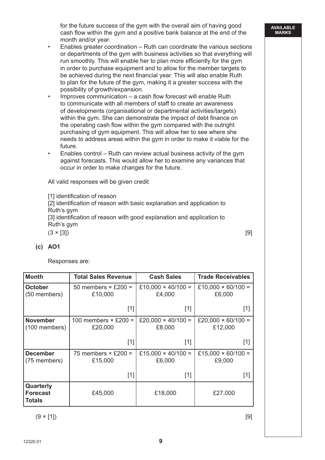for the future success of the gym with the overall aim of having good cash flow within the gym and a positive bank balance at the end of the month and/or year.

- Enables greater coordination Ruth can coordinate the various sections or departments of the gym with business activities so that everything will run smoothly. This will enable her to plan more efficiently for the gym in order to purchase equipment and to allow for the member targets to be achieved during the next financial year. This will also enable Ruth to plan for the future of the gym, making it a greater success with the possibility of growth/expansion.
- Improves communication a cash flow forecast will enable Ruth to communicate with all members of staff to create an awareness of developments (organisational or departmental activities/targets) within the gym. She can demonstrate the impact of debt finance on the operating cash flow within the gym compared with the outright purchasing of gym equipment. This will allow her to see where she needs to address areas within the gym in order to make it viable for the future.
- Enables control Ruth can review actual business activity of the gym against forecasts. This would allow her to examine any variances that occur in order to make changes for the future.

All valid responses will be given credit

[1] identification of reason

 [2] identification of reason with basic explanation and application to Ruth's gym

[3] identification of reason with good explanation and application to Ruth's gym

 $(3 \times [3])$  [9]

# **(c) AO1**

Responses are:

| <b>Month</b>                                  | <b>Total Sales Revenue</b>             | <b>Cash Sales</b>                   | <b>Trade Receivables</b>                                                                                                                                                                                               |
|-----------------------------------------------|----------------------------------------|-------------------------------------|------------------------------------------------------------------------------------------------------------------------------------------------------------------------------------------------------------------------|
| October<br>(50 members)                       | 50 members $\times$ £200 =<br>£10,000  | £10,000 $\times$ 40/100 =<br>£4,000 | £10,000 $\times$ 60/100 =<br>£6,000                                                                                                                                                                                    |
|                                               | $[1]$                                  | $[1]$                               | [1]                                                                                                                                                                                                                    |
| <b>November</b><br>(100 members)              | 100 members $\times$ £200 =<br>£20,000 | £20,000 $\times$ 40/100 =<br>£8,000 | £20,000 $\times$ 60/100 =<br>£12,000                                                                                                                                                                                   |
|                                               | $[1]$                                  | $[1]$                               | $[1]$                                                                                                                                                                                                                  |
| <b>December</b><br>(75 members)               | 75 members $\times$ £200 =<br>£15,000  | £15,000 $\times$ 40/100 =<br>£6,000 | £15,000 $\times$ 60/100 =<br>£9,000                                                                                                                                                                                    |
|                                               | $[1]$                                  | $[1]$                               | $[1] % \includegraphics[width=0.9\columnwidth]{figures/fig_10.pdf} \caption{The figure shows the number of times on the right panel. The left panel shows the number of times on the right panel.} \label{fig:time} %$ |
| Quarterly<br><b>Forecast</b><br><b>Totals</b> | £45,000                                | £18,000                             | £27,000                                                                                                                                                                                                                |

 $(9 \times [1])$  [9]

12320.01 **9**9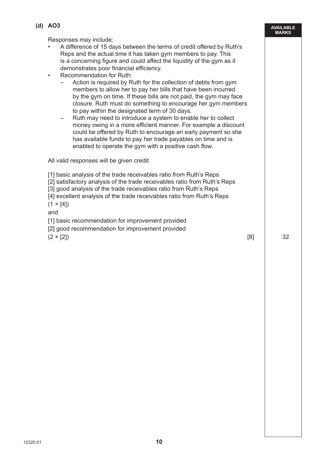**12320.01 10010 [Turn over 1001] 100 100 100 100 100 100 100 100 100 100 100 100 100 100 100 100 100 100 100 100 100 100 100 100 100 100 100 100 100 100 100**

**AVAILABLE MARKS (d) AO3** Responses may include: • A difference of 15 days between the terms of credit offered by Ruth's Reps and the actual time it has taken gym members to pay. This is a concerning figure and could affect the liquidity of the gym as it demonstrates poor financial efficiency. • Recommendation for Ruth: – Action is required by Ruth for the collection of debts from gym members to allow her to pay her bills that have been incurred by the gym on time. If these bills are not paid, the gym may face closure. Ruth must do something to encourage her gym members to pay within the designated term of 30 days. – Ruth may need to introduce a system to enable her to collect money owing in a more efficient manner. For example a discount could be offered by Ruth to encourage an early payment so she has available funds to pay her trade payables on time and is enabled to operate the gym with a positive cash flow. All valid responses will be given credit [1] basic analysis of the trade receivables ratio from Ruth's Reps [2] satisfactory analysis of the trade receivables ratio from Ruth's Reps [3] good analysis of the trade receivables ratio from Ruth's Reps [4] excellent analysis of the trade receivables ratio from Ruth's Reps  $(1 \times [4])$  and [1] basic recommendation for improvement provided [2] good recommendation for improvement provided  $(2 \times [2])$  32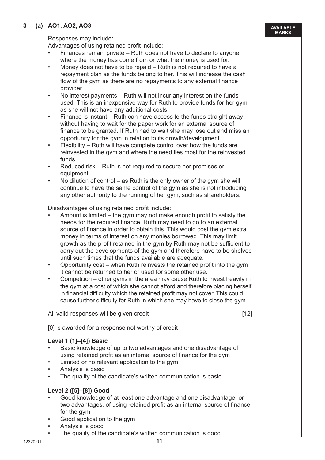# **3 (a) AO1, AO2, AO3**

**AVAILABLE MARKS**

Responses may include:

Advantages of using retained profit include:

- Finances remain private Ruth does not have to declare to anyone where the money has come from or what the money is used for.
- Money does not have to be repaid Ruth is not required to have a repayment plan as the funds belong to her. This will increase the cash flow of the gym as there are no repayments to any external finance provider.
- No interest payments Ruth will not incur any interest on the funds used. This is an inexpensive way for Ruth to provide funds for her gym as she will not have any additional costs.
- Finance is instant Ruth can have access to the funds straight away without having to wait for the paper work for an external source of finance to be granted. If Ruth had to wait she may lose out and miss an opportunity for the gym in relation to its growth/development.
- Flexibility Ruth will have complete control over how the funds are reinvested in the gym and where the need lies most for the reinvested funds.
- Reduced risk Ruth is not required to secure her premises or equipment.
- No dilution of control as Ruth is the only owner of the gym she will continue to have the same control of the gym as she is not introducing any other authority to the running of her gym, such as shareholders.

Disadvantages of using retained profit include:

- Amount is limited the gym may not make enough profit to satisfy the needs for the required finance. Ruth may need to go to an external source of finance in order to obtain this. This would cost the gym extra money in terms of interest on any monies borrowed. This may limit growth as the profit retained in the gym by Ruth may not be sufficient to carry out the developments of the gym and therefore have to be shelved until such times that the funds available are adequate.
- Opportunity cost when Ruth reinvests the retained profit into the gym it cannot be returned to her or used for some other use.
- Competition other gyms in the area may cause Ruth to invest heavily in the gym at a cost of which she cannot afford and therefore placing herself in financial difficulty which the retained profit may not cover. This could cause further difficulty for Ruth in which she may have to close the gym.

All valid responses will be given credit [12]

[0] is awarded for a response not worthy of credit

# **Level 1 (1]–[4]) Basic**

- Basic knowledge of up to two advantages and one disadvantage of using retained profit as an internal source of finance for the gym
- Limited or no relevant application to the gym
- Analysis is basic
- The quality of the candidate's written communication is basic

# **Level 2 ([5]–[8]) Good**

- Good knowledge of at least one advantage and one disadvantage, or two advantages, of using retained profit as an internal source of finance for the gym
- Good application to the gym
- Analysis is good
- The quality of the candidate's written communication is good